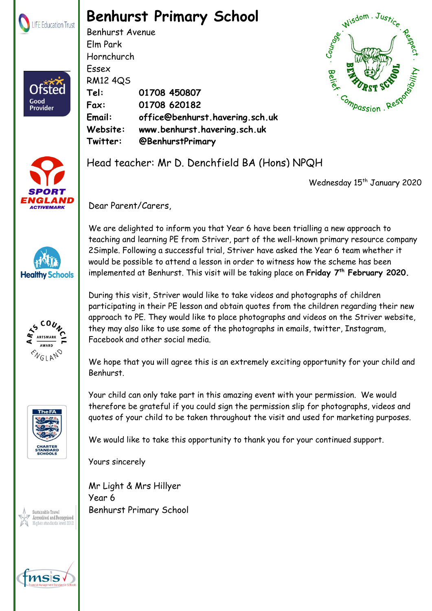

Ofstec

Good<br>Provider

## **Benhurst Primary School**

Benhurst Avenue Elm Park Hornchurch Essex RM12 4QS **Tel: 01708 450807 Fax: 01708 620182 Email: office@benhurst.havering.sch.uk Website: www.benhurst.havering.sch.uk Twitter: @BenhurstPrimary**











Wednesday 15<sup>th</sup> January 2020

Dear Parent/Carers,

We are delighted to inform you that Year 6 have been trialling a new approach to teaching and learning PE from Striver, part of the well-known primary resource company 2Simple. Following a successful trial, Striver have asked the Year 6 team whether it would be possible to attend a lesson in order to witness how the scheme has been implemented at Benhurst. This visit will be taking place on **Friday 7th February 2020.**

During this visit, Striver would like to take videos and photographs of children participating in their PE lesson and obtain quotes from the children regarding their new approach to PE. They would like to place photographs and videos on the Striver website, they may also like to use some of the photographs in emails, twitter, Instagram, Facebook and other social media.

We hope that you will agree this is an extremely exciting opportunity for your child and Benhurst.

Your child can only take part in this amazing event with your permission. We would therefore be grateful if you could sign the permission slip for photographs, videos and quotes of your child to be taken throughout the visit and used for marketing purposes.

We would like to take this opportunity to thank you for your continued support.

Yours sincerely

Mr Light & Mrs Hillyer Year 6 Benhurst Primary School